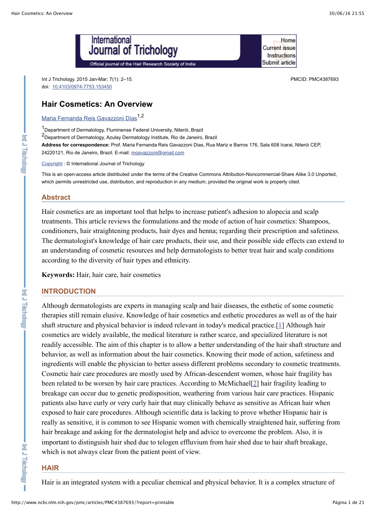

Int J Trichology. 2015 Jan-Mar; 7(1): 2–15. doi: [10.4103/0974-7753.153450](http://dx.doi.org/10.4103%2F0974-7753.153450)

PMCID: PMC4387693

# **Hair Cosmetics: An Overview**

[Maria Fernanda Reis Gavazzoni Dias](http://www.ncbi.nlm.nih.gov/pubmed/?term=Gavazzoni%20Dias%20MF%5Bauth%5D)<sup>1,2</sup>

 $1$ Department of Dermatology, Fluminense Federal University, Niterói, Brazil

<sup>2</sup> Department of Dermatology, Azulay Dermatology Institute, Rio de Janeiro, Brazil

**Address for correspondence:** Prof. Maria Fernanda Reis Gavazzoni Dias, Rua Mariz e Barros 176, Sala 608 Icarai, Niterói CEP, 24220121, Rio de Janeiro, Brazil. E-mail: [mgavazzoni@gmail.com](mailto:dev@null)

[Copyright](http://www.ncbi.nlm.nih.gov/pmc/about/copyright.html) : © International Journal of Trichology

This is an open-access article distributed under the terms of the Creative Commons Attribution-Noncommercial-Share Alike 3.0 Unported, which permits unrestricted use, distribution, and reproduction in any medium, provided the original work is properly cited.

#### **Abstract**

Hair cosmetics are an important tool that helps to increase patient's adhesion to alopecia and scalp treatments. This article reviews the formulations and the mode of action of hair cosmetics: Shampoos, conditioners, hair straightening products, hair dyes and henna; regarding their prescription and safetiness. The dermatologist's knowledge of hair care products, their use, and their possible side effects can extend to an understanding of cosmetic resources and help dermatologists to better treat hair and scalp conditions according to the diversity of hair types and ethnicity.

**Keywords:** Hair, hair care, hair cosmetics

### **INTRODUCTION**

Although dermatologists are experts in managing scalp and hair diseases, the esthetic of some cosmetic therapies still remain elusive. Knowledge of hair cosmetics and esthetic procedures as well as of the hair shaft structure and physical behavior is indeed relevant in today's medical practice.[\[1\]](http://www.ncbi.nlm.nih.gov/pmc/articles/PMC4387693/?report=printable#ref1) Although hair cosmetics are widely available, the medical literature is rather scarce, and specialized literature is not readily accessible. The aim of this chapter is to allow a better understanding of the hair shaft structure and behavior, as well as information about the hair cosmetics. Knowing their mode of action, safetiness and ingredients will enable the physician to better assess different problems secondary to cosmetic treatments. Cosmetic hair care procedures are mostly used by African-descendent women, whose hair fragility has been related to be worsen by hair care practices. According to McMichael<sup>[\[2](http://www.ncbi.nlm.nih.gov/pmc/articles/PMC4387693/?report=printable#ref2)]</sup> hair fragility leading to breakage can occur due to genetic predisposition, weathering from various hair care practices. Hispanic patients also have curly or very curly hair that may clinically behave as sensitive as African hair when exposed to hair care procedures. Although scientific data is lacking to prove whether Hispanic hair is really as sensitive, it is common to see Hispanic women with chemically straightened hair, suffering from hair breakage and asking for the dermatologist help and advice to overcome the problem. Also, it is important to distinguish hair shed due to telogen effluvium from hair shed due to hair shaft breakage, which is not always clear from the patient point of view.

#### **HAIR**

**Michalant** 

Hair is an integrated system with a peculiar chemical and physical behavior. It is a complex structure of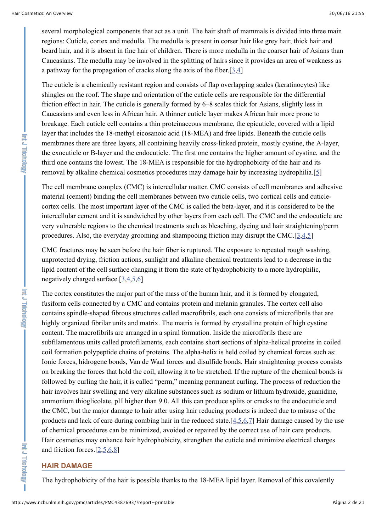several morphological components that act as a unit. The hair shaft of mammals is divided into three main regions: Cuticle, cortex and medulla. The medulla is present in corser hair like grey hair, thick hair and beard hair, and it is absent in fine hair of children. There is more medulla in the coarser hair of Asians than Caucasians. The medulla may be involved in the splitting of hairs since it provides an area of weakness as a pathway for the propagation of cracks along the axis of the fiber. $[3,4]$  $[3,4]$  $[3,4]$ 

The cuticle is a chemically resistant region and consists of flap overlapping scales (keratinocytes) like shingles on the roof. The shape and orientation of the cuticle cells are responsible for the differential friction effect in hair. The cuticle is generally formed by 6–8 scales thick for Asians, slightly less in Caucasians and even less in African hair. A thinner cuticle layer makes African hair more prone to breakage. Each cuticle cell contains a thin proteinaceous membrane, the epicuticle, covered with a lipid layer that includes the 18-methyl eicosanoic acid (18-MEA) and free lipids. Beneath the cuticle cells membranes there are three layers, all containing heavily cross-linked protein, mostly cystine, the A-layer, the exocuticle or B-layer and the endocuticle. The first one contains the higher amount of cystine, and the third one contains the lowest. The 18-MEA is responsible for the hydrophobicity of the hair and its removal by alkaline chemical cosmetics procedures may damage hair by increasing hydrophilia.[\[5\]](http://www.ncbi.nlm.nih.gov/pmc/articles/PMC4387693/?report=printable#ref5)

The cell membrane complex (CMC) is intercellular matter. CMC consists of cell membranes and adhesive material (cement) binding the cell membranes between two cuticle cells, two cortical cells and cuticlecortex cells. The most important layer of the CMC is called the beta-layer, and it is considered to be the intercellular cement and it is sandwiched by other layers from each cell. The CMC and the endocuticle are very vulnerable regions to the chemical treatments such as bleaching, dyeing and hair straightening/perm procedures. Also, the everyday grooming and shampooing friction may disrupt the CMC. $[3,4,5]$  $[3,4,5]$  $[3,4,5]$  $[3,4,5]$ 

CMC fractures may be seen before the hair fiber is ruptured. The exposure to repeated rough washing, unprotected drying, friction actions, sunlight and alkaline chemical treatments lead to a decrease in the lipid content of the cell surface changing it from the state of hydrophobicity to a more hydrophilic, negatively charged surface. $[3,4,5,6]$  $[3,4,5,6]$  $[3,4,5,6]$  $[3,4,5,6]$  $[3,4,5,6]$ 

The cortex constitutes the major part of the mass of the human hair, and it is formed by elongated, fusiform cells connected by a CMC and contains protein and melanin granules. The cortex cell also contains spindle-shaped fibrous structures called macrofibrils, each one consists of microfibrils that are highly organized fibrilar units and matrix. The matrix is formed by crystalline protein of high cystine content. The macrofibrils are arranged in a spiral formation. Inside the microfibrils there are subfilamentous units called protofilaments, each contains short sections of alpha-helical proteins in coiled coil formation polypeptide chains of proteins. The alpha-helix is held coiled by chemical forces such as: Ionic forces, hidrogene bonds, Van de Waal forces and disulfide bonds. Hair straightening process consists on breaking the forces that hold the coil, allowing it to be stretched. If the rupture of the chemical bonds is followed by curling the hair, it is called "perm," meaning permanent curling. The process of reduction the hair involves hair swelling and very alkaline substances such as sodium or lithium hydroxide, guanidine, ammonium thioglicolate, pH higher than 9.0. All this can produce splits or cracks to the endocuticle and the CMC, but the major damage to hair after using hair reducing products is indeed due to misuse of the products and lack of care during combing hair in the reduced state.[\[4](http://www.ncbi.nlm.nih.gov/pmc/articles/PMC4387693/?report=printable#ref4)[,5](http://www.ncbi.nlm.nih.gov/pmc/articles/PMC4387693/?report=printable#ref5)[,6](http://www.ncbi.nlm.nih.gov/pmc/articles/PMC4387693/?report=printable#ref6)[,7](http://www.ncbi.nlm.nih.gov/pmc/articles/PMC4387693/?report=printable#ref7)] Hair damage caused by the use of chemical procedures can be minimized, avoided or repaired by the correct use of hair care products. Hair cosmetics may enhance hair hydrophobicity, strengthen the cuticle and minimize electrical charges and friction forces. $[2,5,6,8]$  $[2,5,6,8]$  $[2,5,6,8]$  $[2,5,6,8]$  $[2,5,6,8]$ 

## **HAIR DAMAGE**

The hydrophobicity of the hair is possible thanks to the 18-MEA lipid layer. Removal of this covalently

**Refugerable Man** 

T

**Lite J Trichadge**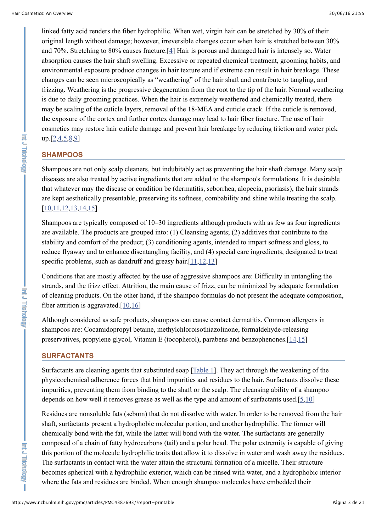linked fatty acid renders the fiber hydrophilic. When wet, virgin hair can be stretched by 30% of their original length without damage; however, irreversible changes occur when hair is stretched between 30% and 70%. Stretching to 80% causes fracture.[\[4](http://www.ncbi.nlm.nih.gov/pmc/articles/PMC4387693/?report=printable#ref4)] Hair is porous and damaged hair is intensely so. Water absorption causes the hair shaft swelling. Excessive or repeated chemical treatment, grooming habits, and environmental exposure produce changes in hair texture and if extreme can result in hair breakage. These changes can be seen microscopically as "weathering" of the hair shaft and contribute to tangling, and frizzing. Weathering is the progressive degeneration from the root to the tip of the hair. Normal weathering is due to daily grooming practices. When the hair is extremely weathered and chemically treated, there may be scaling of the cuticle layers, removal of the 18-MEA and cuticle crack. If the cuticle is removed, the exposure of the cortex and further cortex damage may lead to hair fiber fracture. The use of hair cosmetics may restore hair cuticle damage and prevent hair breakage by reducing friction and water pick  $up.[2,4,5,8,9]$  $up.[2,4,5,8,9]$  $up.[2,4,5,8,9]$  $up.[2,4,5,8,9]$  $up.[2,4,5,8,9]$  $up.[2,4,5,8,9]$ 

# **SHAMPOOS**

Shampoos are not only scalp cleaners, but indubitably act as preventing the hair shaft damage. Many scalp diseases are also treated by active ingredients that are added to the shampoo's formulations. It is desirable that whatever may the disease or condition be (dermatitis, seborrhea, alopecia, psoriasis), the hair strands are kept aesthetically presentable, preserving its softness, combability and shine while treating the scalp.  $[10,11,12,13,14,15]$  $[10,11,12,13,14,15]$  $[10,11,12,13,14,15]$  $[10,11,12,13,14,15]$  $[10,11,12,13,14,15]$  $[10,11,12,13,14,15]$  $[10,11,12,13,14,15]$ 

Shampoos are typically composed of 10–30 ingredients although products with as few as four ingredients are available. The products are grouped into: (1) Cleansing agents; (2) additives that contribute to the stability and comfort of the product; (3) conditioning agents, intended to impart softness and gloss, to reduce flyaway and to enhance disentangling facility, and (4) special care ingredients, designated to treat specific problems, such as dandruff and greasy hair. $[11,12,13]$  $[11,12,13]$  $[11,12,13]$  $[11,12,13]$ 

Conditions that are mostly affected by the use of aggressive shampoos are: Difficulty in untangling the strands, and the frizz effect. Attrition, the main cause of frizz, can be minimized by adequate formulation of cleaning products. On the other hand, if the shampoo formulas do not present the adequate composition, fiber attrition is aggravated. $[10,16]$  $[10,16]$  $[10,16]$ 

Although considered as safe products, shampoos can cause contact dermatitis. Common allergens in shampoos are: Cocamidopropyl betaine, methylchloroisothiazolinone, formaldehyde-releasing preservatives, propylene glycol, Vitamin E (tocopherol), parabens and benzophenones. $[14,15]$  $[14,15]$  $[14,15]$ 

## **SURFACTANTS**

Surfactants are cleaning agents that substituted soap [\[Table 1\]](http://www.ncbi.nlm.nih.gov/pmc/articles/PMC4387693/table/T1/). They act through the weakening of the physicochemical adherence forces that bind impurities and residues to the hair. Surfactants dissolve these impurities, preventing them from binding to the shaft or the scalp. The cleansing ability of a shampoo depends on how well it removes grease as well as the type and amount of surfactants used. $[5,10]$  $[5,10]$ 

Residues are nonsoluble fats (sebum) that do not dissolve with water. In order to be removed from the hair shaft, surfactants present a hydrophobic molecular portion, and another hydrophilic. The former will chemically bond with the fat, while the latter will bond with the water. The surfactants are generally composed of a chain of fatty hydrocarbons (tail) and a polar head. The polar extremity is capable of giving this portion of the molecule hydrophilic traits that allow it to dissolve in water and wash away the residues. The surfactants in contact with the water attain the structural formation of a micelle. Their structure becomes spherical with a hydrophilic exterior, which can be rinsed with water, and a hydrophobic interior where the fats and residues are binded. When enough shampoo molecules have embedded their

**Fit J Trichology** 

**Early Highlight**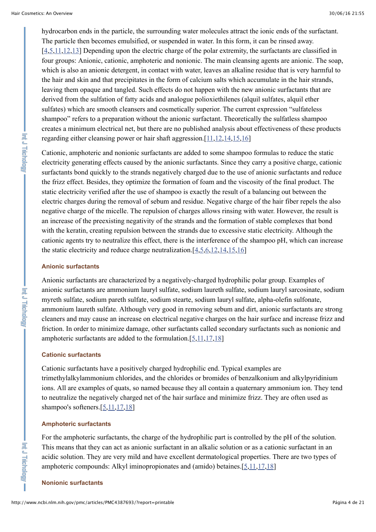hydrocarbon ends in the particle, the surrounding water molecules attract the ionic ends of the surfactant. The particle then becomes emulsified, or suspended in water. In this form, it can be rinsed away. [\[4](http://www.ncbi.nlm.nih.gov/pmc/articles/PMC4387693/?report=printable#ref4)[,5](http://www.ncbi.nlm.nih.gov/pmc/articles/PMC4387693/?report=printable#ref5)[,11](http://www.ncbi.nlm.nih.gov/pmc/articles/PMC4387693/?report=printable#ref11)[,12](http://www.ncbi.nlm.nih.gov/pmc/articles/PMC4387693/?report=printable#ref12)[,13](http://www.ncbi.nlm.nih.gov/pmc/articles/PMC4387693/?report=printable#ref13)] Depending upon the electric charge of the polar extremity, the surfactants are classified in four groups: Anionic, cationic, amphoteric and nonionic. The main cleansing agents are anionic. The soap, which is also an anionic detergent, in contact with water, leaves an alkaline residue that is very harmful to the hair and skin and that precipitates in the form of calcium salts which accumulate in the hair strands, leaving them opaque and tangled. Such effects do not happen with the new anionic surfactants that are derived from the sulfation of fatty acids and analogue polioxiethilenes (alquil sulfates, alquil ether sulfates) which are smooth cleansers and cosmetically superior. The current expression "sulfateless shampoo" refers to a preparation without the anionic surfactant. Theoretically the sulfatless shampoo creates a minimum electrical net, but there are no published analysis about effectiveness of these products regarding either cleansing power or hair shaft aggression.[\[11](http://www.ncbi.nlm.nih.gov/pmc/articles/PMC4387693/?report=printable#ref11)[,12](http://www.ncbi.nlm.nih.gov/pmc/articles/PMC4387693/?report=printable#ref12)[,14](http://www.ncbi.nlm.nih.gov/pmc/articles/PMC4387693/?report=printable#ref14)[,15](http://www.ncbi.nlm.nih.gov/pmc/articles/PMC4387693/?report=printable#ref15)[,16](http://www.ncbi.nlm.nih.gov/pmc/articles/PMC4387693/?report=printable#ref16)]

Cationic, amphoteric and nonionic surfactants are added to some shampoo formulas to reduce the static electricity generating effects caused by the anionic surfactants. Since they carry a positive charge, cationic surfactants bond quickly to the strands negatively charged due to the use of anionic surfactants and reduce the frizz effect. Besides, they optimize the formation of foam and the viscosity of the final product. The static electricity verified after the use of shampoo is exactly the result of a balancing out between the electric charges during the removal of sebum and residue. Negative charge of the hair fiber repels the also negative charge of the micelle. The repulsion of charges allows rinsing with water. However, the result is an increase of the preexisting negativity of the strands and the formation of stable complexes that bond with the keratin, creating repulsion between the strands due to excessive static electricity. Although the cationic agents try to neutralize this effect, there is the interference of the shampoo pH, which can increase the static electricity and reduce charge neutralization.[\[4](http://www.ncbi.nlm.nih.gov/pmc/articles/PMC4387693/?report=printable#ref4)[,5](http://www.ncbi.nlm.nih.gov/pmc/articles/PMC4387693/?report=printable#ref5)[,6](http://www.ncbi.nlm.nih.gov/pmc/articles/PMC4387693/?report=printable#ref6)[,12](http://www.ncbi.nlm.nih.gov/pmc/articles/PMC4387693/?report=printable#ref12)[,14](http://www.ncbi.nlm.nih.gov/pmc/articles/PMC4387693/?report=printable#ref14)[,15](http://www.ncbi.nlm.nih.gov/pmc/articles/PMC4387693/?report=printable#ref15)[,16](http://www.ncbi.nlm.nih.gov/pmc/articles/PMC4387693/?report=printable#ref16)]

#### **Anionic surfactants**

Anionic surfactants are characterized by a negatively-charged hydrophilic polar group. Examples of anionic surfactants are ammonium lauryl sulfate, sodium laureth sulfate, sodium lauryl sarcosinate, sodium myreth sulfate, sodium pareth sulfate, sodium stearte, sodium lauryl sulfate, alpha-olefin sulfonate, ammonium laureth sulfate. Although very good in removing sebum and dirt, anionic surfactants are strong cleaners and may cause an increase on electrical negative charges on the hair surface and increase frizz and friction. In order to minimize damage, other surfactants called secondary surfactants such as nonionic and amphoteric surfactants are added to the formulation.[\[5](http://www.ncbi.nlm.nih.gov/pmc/articles/PMC4387693/?report=printable#ref5)[,11](http://www.ncbi.nlm.nih.gov/pmc/articles/PMC4387693/?report=printable#ref11)[,17](http://www.ncbi.nlm.nih.gov/pmc/articles/PMC4387693/?report=printable#ref17)[,18\]](http://www.ncbi.nlm.nih.gov/pmc/articles/PMC4387693/?report=printable#ref18)

#### **Cationic surfactants**

Cationic surfactants have a positively charged hydrophilic end. Typical examples are trimethylalkylammonium chlorides, and the chlorides or bromides of benzalkonium and alkylpyridinium ions. All are examples of quats, so named because they all contain a quaternary ammonium ion. They tend to neutralize the negatively charged net of the hair surface and minimize frizz. They are often used as shampoo's softeners.[\[5](http://www.ncbi.nlm.nih.gov/pmc/articles/PMC4387693/?report=printable#ref5)[,11](http://www.ncbi.nlm.nih.gov/pmc/articles/PMC4387693/?report=printable#ref11)[,17](http://www.ncbi.nlm.nih.gov/pmc/articles/PMC4387693/?report=printable#ref17)[,18\]](http://www.ncbi.nlm.nih.gov/pmc/articles/PMC4387693/?report=printable#ref18)

#### **Amphoteric surfactants**

For the amphoteric surfactants, the charge of the hydrophilic part is controlled by the pH of the solution. This means that they can act as anionic surfactant in an alkalic solution or as a cationic surfactant in an acidic solution. They are very mild and have excellent dermatological properties. There are two types of amphoteric compounds: Alkyl iminopropionates and (amido) betaines.[\[5](http://www.ncbi.nlm.nih.gov/pmc/articles/PMC4387693/?report=printable#ref5)[,11](http://www.ncbi.nlm.nih.gov/pmc/articles/PMC4387693/?report=printable#ref11)[,17](http://www.ncbi.nlm.nih.gov/pmc/articles/PMC4387693/?report=printable#ref17)[,18](http://www.ncbi.nlm.nih.gov/pmc/articles/PMC4387693/?report=printable#ref18)]

#### **Nonionic surfactants**

**The Hereday**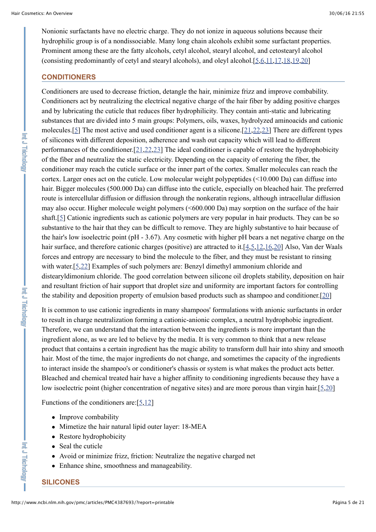Nonionic surfactants have no electric charge. They do not ionize in aqueous solutions because their hydrophilic group is of a nondissociable. Many long chain alcohols exhibit some surfactant properties. Prominent among these are the fatty alcohols, cetyl alcohol, stearyl alcohol, and cetostearyl alcohol (consisting predominantly of cetyl and stearyl alcohols), and oleyl alcohol.[\[5](http://www.ncbi.nlm.nih.gov/pmc/articles/PMC4387693/?report=printable#ref5)[,6](http://www.ncbi.nlm.nih.gov/pmc/articles/PMC4387693/?report=printable#ref6)[,11](http://www.ncbi.nlm.nih.gov/pmc/articles/PMC4387693/?report=printable#ref11)[,17](http://www.ncbi.nlm.nih.gov/pmc/articles/PMC4387693/?report=printable#ref17)[,18](http://www.ncbi.nlm.nih.gov/pmc/articles/PMC4387693/?report=printable#ref18)[,19](http://www.ncbi.nlm.nih.gov/pmc/articles/PMC4387693/?report=printable#ref19)[,20\]](http://www.ncbi.nlm.nih.gov/pmc/articles/PMC4387693/?report=printable#ref20)

### **CONDITIONERS**

Conditioners are used to decrease friction, detangle the hair, minimize frizz and improve combability. Conditioners act by neutralizing the electrical negative charge of the hair fiber by adding positive charges and by lubricating the cuticle that reduces fiber hydrophilicity. They contain anti-static and lubricating substances that are divided into 5 main groups: Polymers, oils, waxes, hydrolyzed aminoacids and cationic molecules.[\[5\]](http://www.ncbi.nlm.nih.gov/pmc/articles/PMC4387693/?report=printable#ref5) The most active and used conditioner agent is a silicone.[\[21](http://www.ncbi.nlm.nih.gov/pmc/articles/PMC4387693/?report=printable#ref21)[,22](http://www.ncbi.nlm.nih.gov/pmc/articles/PMC4387693/?report=printable#ref22)[,23\]](http://www.ncbi.nlm.nih.gov/pmc/articles/PMC4387693/?report=printable#ref23) There are different types of silicones with different deposition, adherence and wash out capacity which will lead to different performances of the conditioner.[\[21](http://www.ncbi.nlm.nih.gov/pmc/articles/PMC4387693/?report=printable#ref21)[,22](http://www.ncbi.nlm.nih.gov/pmc/articles/PMC4387693/?report=printable#ref22)[,23](http://www.ncbi.nlm.nih.gov/pmc/articles/PMC4387693/?report=printable#ref23)] The ideal conditioner is capable of restore the hydrophobicity of the fiber and neutralize the static electricity. Depending on the capacity of entering the fiber, the conditioner may reach the cuticle surface or the inner part of the cortex. Smaller molecules can reach the cortex. Larger ones act on the cuticle. Low molecular weight polypeptides (<10.000 Da) can diffuse into hair. Bigger molecules (500.000 Da) can diffuse into the cuticle, especially on bleached hair. The preferred route is intercellular diffusion or diffusion through the nonkeratin regions, although intracellular diffusion may also occur. Higher molecule weight polymers (<600.000 Da) may sorption on the surface of the hair shaft.[\[5\]](http://www.ncbi.nlm.nih.gov/pmc/articles/PMC4387693/?report=printable#ref5) Cationic ingredients such as cationic polymers are very popular in hair products. They can be so substantive to the hair that they can be difficult to remove. They are highly substantive to hair because of the hair's low isoelectric point (pH - 3.67). Any cosmetic with higher pH bears a net negative charge on the hair surface, and therefore cationic charges (positive) are attracted to it.[\[4](http://www.ncbi.nlm.nih.gov/pmc/articles/PMC4387693/?report=printable#ref4)[,5](http://www.ncbi.nlm.nih.gov/pmc/articles/PMC4387693/?report=printable#ref5)[,12](http://www.ncbi.nlm.nih.gov/pmc/articles/PMC4387693/?report=printable#ref12)[,16](http://www.ncbi.nlm.nih.gov/pmc/articles/PMC4387693/?report=printable#ref16)[,20](http://www.ncbi.nlm.nih.gov/pmc/articles/PMC4387693/?report=printable#ref20)] Also, Van der Waals forces and entropy are necessary to bind the molecule to the fiber, and they must be resistant to rinsing with water.[\[5](http://www.ncbi.nlm.nih.gov/pmc/articles/PMC4387693/?report=printable#ref5)[,22](http://www.ncbi.nlm.nih.gov/pmc/articles/PMC4387693/?report=printable#ref22)] Examples of such polymers are: Benzyl dimethyl ammonium chloride and distearyldimonium chloride. The good correlation between silicone oil droplets stability, deposition on hair and resultant friction of hair support that droplet size and uniformity are important factors for controlling the stability and deposition property of emulsion based products such as shampoo and conditioner.[\[20](http://www.ncbi.nlm.nih.gov/pmc/articles/PMC4387693/?report=printable#ref20)]

It is common to use cationic ingredients in many shampoos' formulations with anionic surfactants in order to result in charge neutralization forming a cationic-anionic complex, a neutral hydrophobic ingredient. Therefore, we can understand that the interaction between the ingredients is more important than the ingredient alone, as we are led to believe by the media. It is very common to think that a new release product that contains a certain ingredient has the magic ability to transform dull hair into shiny and smooth hair. Most of the time, the major ingredients do not change, and sometimes the capacity of the ingredients to interact inside the shampoo's or conditioner's chassis or system is what makes the product acts better. Bleached and chemical treated hair have a higher affinity to conditioning ingredients because they have a low isoelectric point (higher concentration of negative sites) and are more porous than virgin hair.[\[5](http://www.ncbi.nlm.nih.gov/pmc/articles/PMC4387693/?report=printable#ref5)[,20\]](http://www.ncbi.nlm.nih.gov/pmc/articles/PMC4387693/?report=printable#ref20)

Functions of the conditioners are: $[5,12]$  $[5,12]$ 

- Improve combability
- Mimetize the hair natural lipid outer layer: 18-MEA
- Restore hydrophobicity
- Seal the cuticle
- Avoid or minimize frizz, friction: Neutralize the negative charged net
- Enhance shine, smoothness and manageability.

### **SILICONES**

**Michaldish:**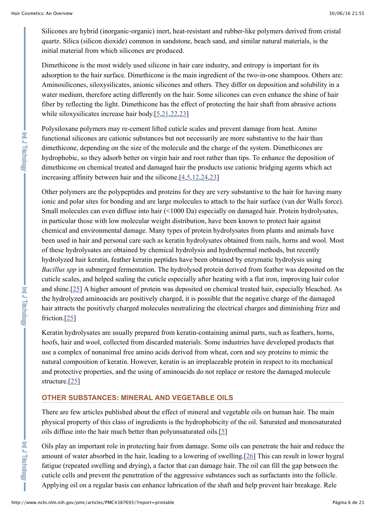Silicones are hybrid (inorganic-organic) inert, heat-resistant and rubber-like polymers derived from cristal quartz. Silica (silicon dioxide) common in sandstone, beach sand, and similar natural materials, is the initial material from which silicones are produced.

Dimethicone is the most widely used silicone in hair care industry, and entropy is important for its adsorption to the hair surface. Dimethicone is the main ingredient of the two-in-one shampoos. Others are: Aminosilicones, siloxysilicates, anionic silicones and others. They differ on deposition and solubility in a water medium, therefore acting differently on the hair. Some silicones can even enhance the shine of hair fiber by reflecting the light. Dimethicone has the effect of protecting the hair shaft from abrasive actions while siloxysilicates increase hair body.[\[5](http://www.ncbi.nlm.nih.gov/pmc/articles/PMC4387693/?report=printable#ref5)[,21](http://www.ncbi.nlm.nih.gov/pmc/articles/PMC4387693/?report=printable#ref21)[,22](http://www.ncbi.nlm.nih.gov/pmc/articles/PMC4387693/?report=printable#ref22)[,23](http://www.ncbi.nlm.nih.gov/pmc/articles/PMC4387693/?report=printable#ref23)]

Polysiloxane polymers may re-cement lifted cuticle scales and prevent damage from heat. Amino functional silicones are cationic substances but not necessarily are more substantive to the hair than dimethicone, depending on the size of the molecule and the charge of the system. Dimethicones are hydrophobic, so they adsorb better on virgin hair and root rather than tips. To enhance the deposition of dimethicone on chemical treated and damaged hair the products use cationic bridging agents which act increasing affinity between hair and the silicone.[\[4](http://www.ncbi.nlm.nih.gov/pmc/articles/PMC4387693/?report=printable#ref4)[,5](http://www.ncbi.nlm.nih.gov/pmc/articles/PMC4387693/?report=printable#ref5)[,12](http://www.ncbi.nlm.nih.gov/pmc/articles/PMC4387693/?report=printable#ref12)[,24](http://www.ncbi.nlm.nih.gov/pmc/articles/PMC4387693/?report=printable#ref24)[,23](http://www.ncbi.nlm.nih.gov/pmc/articles/PMC4387693/?report=printable#ref23)]

Other polymers are the polypeptides and proteins for they are very substantive to the hair for having many ionic and polar sites for bonding and are large molecules to attach to the hair surface (van der Walls force). Small molecules can even diffuse into hair (<1000 Da) especially on damaged hair. Protein hydrolysates, in particular those with low molecular weight distribution, have been known to protect hair against chemical and environmental damage. Many types of protein hydrolysates from plants and animals have been used in hair and personal care such as keratin hydrolysates obtained from nails, horns and wool. Most of these hydrolysates are obtained by chemical hydrolysis and hydrothermal methods, but recently hydrolyzed hair keratin, feather keratin peptides have been obtained by enzymatic hydrolysis using *Bacillus spp* in submerged fermentation. The hydrolysed protein derived from feather was deposited on the cuticle scales, and helped sealing the cuticle especially after heating with a flat iron, improving hair color and shine.[\[25](http://www.ncbi.nlm.nih.gov/pmc/articles/PMC4387693/?report=printable#ref25)] A higher amount of protein was deposited on chemical treated hair, especially bleached. As the hydrolyzed aminoacids are positively charged, it is possible that the negative charge of the damaged hair attracts the positively charged molecules neutralizing the electrical charges and diminishing frizz and friction.[\[25\]](http://www.ncbi.nlm.nih.gov/pmc/articles/PMC4387693/?report=printable#ref25)

Keratin hydrolysates are usually prepared from keratin-containing animal parts, such as feathers, horns, hoofs, hair and wool, collected from discarded materials. Some industries have developed products that use a complex of nonanimal free amino acids derived from wheat, corn and soy proteins to mimic the natural composition of keratin. However, keratin is an irreplaceable protein in respect to its mechanical and protective properties, and the using of aminoacids do not replace or restore the damaged molecule structure.[\[25\]](http://www.ncbi.nlm.nih.gov/pmc/articles/PMC4387693/?report=printable#ref25)

# **OTHER SUBSTANCES: MINERAL AND VEGETABLE OILS**

There are few articles published about the effect of mineral and vegetable oils on human hair. The main physical property of this class of ingredients is the hydrophobicity of the oil. Saturated and monosaturated oils diffuse into the hair much better than polyunsaturated oils.[\[5](http://www.ncbi.nlm.nih.gov/pmc/articles/PMC4387693/?report=printable#ref5)]

Oils play an important role in protecting hair from damage. Some oils can penetrate the hair and reduce the amount of water absorbed in the hair, leading to a lowering of swelling.[\[26](http://www.ncbi.nlm.nih.gov/pmc/articles/PMC4387693/?report=printable#ref26)] This can result in lower hygral fatigue (repeated swelling and drying), a factor that can damage hair. The oil can fill the gap between the cuticle cells and prevent the penetration of the aggressive substances such as surfactants into the follicle. Applying oil on a regular basis can enhance lubrication of the shaft and help prevent hair breakage. Rele

**Intel Trichology**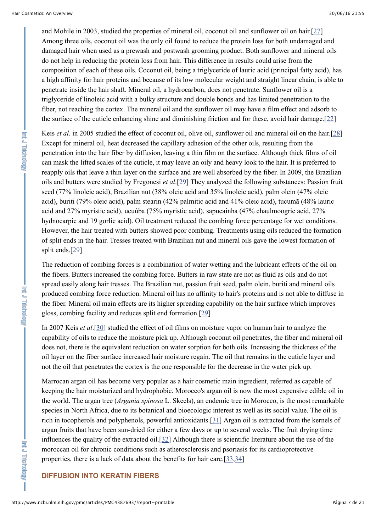**Helender -**

**Heleder -**

and Mohile in 2003, studied the properties of mineral oil, coconut oil and sunflower oil on hair.[\[27](http://www.ncbi.nlm.nih.gov/pmc/articles/PMC4387693/?report=printable#ref27)] Among three oils, coconut oil was the only oil found to reduce the protein loss for both undamaged and damaged hair when used as a prewash and postwash grooming product. Both sunflower and mineral oils do not help in reducing the protein loss from hair. This difference in results could arise from the composition of each of these oils. Coconut oil, being a triglyceride of lauric acid (principal fatty acid), has a high affinity for hair proteins and because of its low molecular weight and straight linear chain, is able to penetrate inside the hair shaft. Mineral oil, a hydrocarbon, does not penetrate. Sunflower oil is a triglyceride of linoleic acid with a bulky structure and double bonds and has limited penetration to the fiber, not reaching the cortex. The mineral oil and the sunflower oil may have a film effect and adsorb to the surface of the cuticle enhancing shine and diminishing friction and for these, avoid hair damage.[\[22](http://www.ncbi.nlm.nih.gov/pmc/articles/PMC4387693/?report=printable#ref22)]

Keis *et al.* in 2005 studied the effect of coconut oil, olive oil, sunflower oil and mineral oil on the hair.[\[28](http://www.ncbi.nlm.nih.gov/pmc/articles/PMC4387693/?report=printable#ref28)] Except for mineral oil, heat decreased the capillary adhesion of the other oils, resulting from the penetration into the hair fiber by diffusion, leaving a thin film on the surface. Although thick films of oil can mask the lifted scales of the cuticle, it may leave an oily and heavy look to the hair. It is preferred to reapply oils that leave a thin layer on the surface and are well absorbed by the fiber. In 2009, the Brazilian oils and butters were studied by Fregonesi *et al*.[\[29](http://www.ncbi.nlm.nih.gov/pmc/articles/PMC4387693/?report=printable#ref29)] They analyzed the following substances: Passion fruit seed (77% linoleic acid), Brazilian nut (38% oleic acid and 35% linoleic acid), palm olein (47% oleic acid), buriti (79% oleic acid), palm stearin (42% palmitic acid and 41% oleic acid), tucumã (48% lauric acid and 27% myristic acid), ucuúba (75% myristic acid), sapucainha (47% chaulmoogric acid, 27% hydnocarpic and 19 gorlic acid). Oil treatment reduced the combing force percentage for wet conditions. However, the hair treated with butters showed poor combing. Treatments using oils reduced the formation of split ends in the hair. Tresses treated with Brazilian nut and mineral oils gave the lowest formation of split ends.[\[29](http://www.ncbi.nlm.nih.gov/pmc/articles/PMC4387693/?report=printable#ref29)]

The reduction of combing forces is a combination of water wetting and the lubricant effects of the oil on the fibers. Butters increased the combing force. Butters in raw state are not as fluid as oils and do not spread easily along hair tresses. The Brazilian nut, passion fruit seed, palm olein, buriti and mineral oils produced combing force reduction. Mineral oil has no affinity to hair's proteins and is not able to diffuse in the fiber. Mineral oil main effects are its higher spreading capability on the hair surface which improves gloss, combing facility and reduces split end formation.[\[29\]](http://www.ncbi.nlm.nih.gov/pmc/articles/PMC4387693/?report=printable#ref29)

In 2007 Keis *et al*.[\[30](http://www.ncbi.nlm.nih.gov/pmc/articles/PMC4387693/?report=printable#ref30)] studied the effect of oil films on moisture vapor on human hair to analyze the capability of oils to reduce the moisture pick up. Although coconut oil penetrates, the fiber and mineral oil does not, there is the equivalent reduction on water sorption for both oils. Increasing the thickness of the oil layer on the fiber surface increased hair moisture regain. The oil that remains in the cuticle layer and not the oil that penetrates the cortex is the one responsible for the decrease in the water pick up.

Marrocan argan oil has become very popular as a hair cosmetic main ingredient, referred as capable of keeping the hair moisturized and hydrophobic. Morocco's argan oil is now the most expensive edible oil in the world. The argan tree (*Argania spinosa* L. Skeels), an endemic tree in Morocco, is the most remarkable species in North Africa, due to its botanical and bioecologic interest as well as its social value. The oil is rich in tocopherols and polyphenols, powerful antioxidants.[\[31](http://www.ncbi.nlm.nih.gov/pmc/articles/PMC4387693/?report=printable#ref31)] Argan oil is extracted from the kernels of argan fruits that have been sun-dried for either a few days or up to several weeks. The fruit drying time influences the quality of the extracted oil.[\[32](http://www.ncbi.nlm.nih.gov/pmc/articles/PMC4387693/?report=printable#ref32)] Although there is scientific literature about the use of the moroccan oil for chronic conditions such as atherosclerosis and psoriasis for its cardioprotective properties, there is a lack of data about the benefits for hair care.[\[33](http://www.ncbi.nlm.nih.gov/pmc/articles/PMC4387693/?report=printable#ref33)[,34](http://www.ncbi.nlm.nih.gov/pmc/articles/PMC4387693/?report=printable#ref34)]

#### **DIFFUSION INTO KERATIN FIBERS**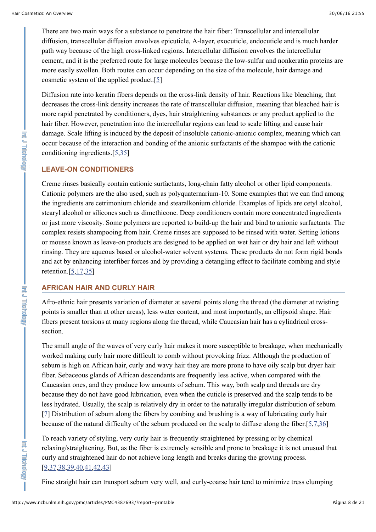There are two main ways for a substance to penetrate the hair fiber: Transcellular and intercellular diffusion, transcellular diffusion envolves epicuticle, A-layer, exocuticle, endocuticle and is much harder path way because of the high cross-linked regions. Intercellular diffusion envolves the intercellular cement, and it is the preferred route for large molecules because the low-sulfur and nonkeratin proteins are more easily swollen. Both routes can occur depending on the size of the molecule, hair damage and cosmetic system of the applied product.[\[5](http://www.ncbi.nlm.nih.gov/pmc/articles/PMC4387693/?report=printable#ref5)]

Diffusion rate into keratin fibers depends on the cross-link density of hair. Reactions like bleaching, that decreases the cross-link density increases the rate of transcellular diffusion, meaning that bleached hair is more rapid penetrated by conditioners, dyes, hair straightening substances or any product applied to the hair fiber. However, penetration into the intercellular regions can lead to scale lifting and cause hair damage. Scale lifting is induced by the deposit of insoluble cationic-anionic complex, meaning which can occur because of the interaction and bonding of the anionic surfactants of the shampoo with the cationic conditioning ingredients.[\[5](http://www.ncbi.nlm.nih.gov/pmc/articles/PMC4387693/?report=printable#ref5)[,35](http://www.ncbi.nlm.nih.gov/pmc/articles/PMC4387693/?report=printable#ref35)]

## **LEAVE-ON CONDITIONERS**

Creme rinses basically contain cationic surfactants, long-chain fatty alcohol or other lipid components. Cationic polymers are the also used, such as polyquaternarium-10. Some examples that we can find among the ingredients are cetrimonium chloride and stearalkonium chloride. Examples of lipids are cetyl alcohol, stearyl alcohol or silicones such as dimethicone. Deep conditioners contain more concentrated ingredients or just more viscosity. Some polymers are reported to build-up the hair and bind to anionic surfactants. The complex resists shampooing from hair. Creme rinses are supposed to be rinsed with water. Setting lotions or mousse known as leave-on products are designed to be applied on wet hair or dry hair and left without rinsing. They are aqueous based or alcohol-water solvent systems. These products do not form rigid bonds and act by enhancing interfiber forces and by providing a detangling effect to facilitate combing and style retention. $[5,17,35]$  $[5,17,35]$  $[5,17,35]$ 

## **AFRICAN HAIR AND CURLY HAIR**

Afro-ethnic hair presents variation of diameter at several points along the thread (the diameter at twisting points is smaller than at other areas), less water content, and most importantly, an ellipsoid shape. Hair fibers present torsions at many regions along the thread, while Caucasian hair has a cylindrical crosssection.

The small angle of the waves of very curly hair makes it more susceptible to breakage, when mechanically worked making curly hair more difficult to comb without provoking frizz. Although the production of sebum is high on African hair, curly and wavy hair they are more prone to have oily scalp but dryer hair fiber. Sebaceous glands of African descendants are frequently less active, when compared with the Caucasian ones, and they produce low amounts of sebum. This way, both scalp and threads are dry because they do not have good lubrication, even when the cuticle is preserved and the scalp tends to be less hydrated. Usually, the scalp is relatively dry in order to the naturally irregular distribution of sebum. [\[7](http://www.ncbi.nlm.nih.gov/pmc/articles/PMC4387693/?report=printable#ref7)] Distribution of sebum along the fibers by combing and brushing is a way of lubricating curly hair because of the natural difficulty of the sebum produced on the scalp to diffuse along the fiber.[\[5](http://www.ncbi.nlm.nih.gov/pmc/articles/PMC4387693/?report=printable#ref5)[,7](http://www.ncbi.nlm.nih.gov/pmc/articles/PMC4387693/?report=printable#ref7)[,36](http://www.ncbi.nlm.nih.gov/pmc/articles/PMC4387693/?report=printable#ref36)]

To reach variety of styling, very curly hair is frequently straightened by pressing or by chemical relaxing/straightening. But, as the fiber is extremely sensible and prone to breakage it is not unusual that curly and straightened hair do not achieve long length and breaks during the growing process. [\[9](http://www.ncbi.nlm.nih.gov/pmc/articles/PMC4387693/?report=printable#ref9)[,37](http://www.ncbi.nlm.nih.gov/pmc/articles/PMC4387693/?report=printable#ref37)[,38](http://www.ncbi.nlm.nih.gov/pmc/articles/PMC4387693/?report=printable#ref38)[,39](http://www.ncbi.nlm.nih.gov/pmc/articles/PMC4387693/?report=printable#ref39)[,40](http://www.ncbi.nlm.nih.gov/pmc/articles/PMC4387693/?report=printable#ref40)[,41](http://www.ncbi.nlm.nih.gov/pmc/articles/PMC4387693/?report=printable#ref41)[,42](http://www.ncbi.nlm.nih.gov/pmc/articles/PMC4387693/?report=printable#ref42)[,43](http://www.ncbi.nlm.nih.gov/pmc/articles/PMC4387693/?report=printable#ref43)]

Fine straight hair can transport sebum very well, and curly-coarse hair tend to minimize tress clumping

**Exploration -**

**A Linteral Rivers**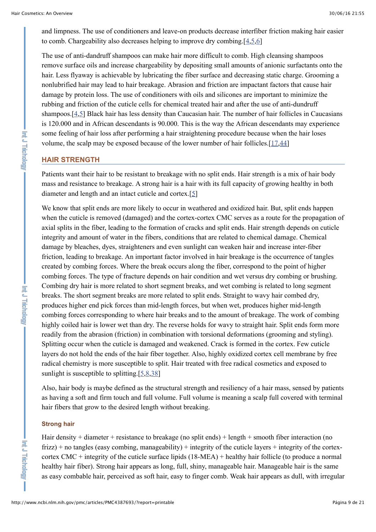and limpness. The use of conditioners and leave-on products decrease interfiber friction making hair easier to comb. Chargeability also decreases helping to improve dry combing. $[4,5,6]$  $[4,5,6]$  $[4,5,6]$ 

The use of anti-dandruff shampoos can make hair more difficult to comb. High cleansing shampoos remove surface oils and increase chargeability by depositing small amounts of anionic surfactants onto the hair. Less flyaway is achievable by lubricating the fiber surface and decreasing static charge. Grooming a nonlubrified hair may lead to hair breakage. Abrasion and friction are impactant factors that cause hair damage by protein loss. The use of conditioners with oils and silicones are important to minimize the rubbing and friction of the cuticle cells for chemical treated hair and after the use of anti-dundruff shampoos.[\[4](http://www.ncbi.nlm.nih.gov/pmc/articles/PMC4387693/?report=printable#ref4)[,5](http://www.ncbi.nlm.nih.gov/pmc/articles/PMC4387693/?report=printable#ref5)] Black hair has less density than Caucasian hair. The number of hair follicles in Caucasians is 120.000 and in African descendants is 90.000. This is the way the African descendants may experience some feeling of hair loss after performing a hair straightening procedure because when the hair loses volume, the scalp may be exposed because of the lower number of hair follicles.[\[17](http://www.ncbi.nlm.nih.gov/pmc/articles/PMC4387693/?report=printable#ref17)[,44](http://www.ncbi.nlm.nih.gov/pmc/articles/PMC4387693/?report=printable#ref44)]

#### **HAIR STRENGTH**

Patients want their hair to be resistant to breakage with no split ends. Hair strength is a mix of hair body mass and resistance to breakage. A strong hair is a hair with its full capacity of growing healthy in both diameter and length and an intact cuticle and cortex.[\[5](http://www.ncbi.nlm.nih.gov/pmc/articles/PMC4387693/?report=printable#ref5)]

We know that split ends are more likely to occur in weathered and oxidized hair. But, split ends happen when the cuticle is removed (damaged) and the cortex-cortex CMC serves as a route for the propagation of axial splits in the fiber, leading to the formation of cracks and split ends. Hair strength depends on cuticle integrity and amount of water in the fibers, conditions that are related to chemical damage. Chemical damage by bleaches, dyes, straighteners and even sunlight can weaken hair and increase inter-fiber friction, leading to breakage. An important factor involved in hair breakage is the occurrence of tangles created by combing forces. Where the break occurs along the fiber, correspond to the point of higher combing forces. The type of fracture depends on hair condition and wet versus dry combing or brushing. Combing dry hair is more related to short segment breaks, and wet combing is related to long segment breaks. The short segment breaks are more related to split ends. Straight to wavy hair combed dry, produces higher end pick forces than mid-length forces, but when wet, produces higher mid-length combing forces corresponding to where hair breaks and to the amount of breakage. The work of combing highly coiled hair is lower wet than dry. The reverse holds for wavy to straight hair. Split ends form more readily from the abrasion (friction) in combination with torsional deformations (grooming and styling). Splitting occur when the cuticle is damaged and weakened. Crack is formed in the cortex. Few cuticle layers do not hold the ends of the hair fiber together. Also, highly oxidized cortex cell membrane by free radical chemistry is more susceptible to split. Hair treated with free radical cosmetics and exposed to sunlight is susceptible to splitting. $[5,8,38]$  $[5,8,38]$  $[5,8,38]$  $[5,8,38]$ 

Also, hair body is maybe defined as the structural strength and resiliency of a hair mass, sensed by patients as having a soft and firm touch and full volume. Full volume is meaning a scalp full covered with terminal hair fibers that grow to the desired length without breaking.

#### **Strong hair**

Hair density + diameter + resistance to breakage (no split ends) + length + smooth fiber interaction (no frizz) + no tangles (easy combing, manageability) + integrity of the cuticle layers + integrity of the cortexcortex CMC + integrity of the cuticle surface lipids (18-MEA) + healthy hair follicle (to produce a normal healthy hair fiber). Strong hair appears as long, full, shiny, manageable hair. Manageable hair is the same as easy combable hair, perceived as soft hair, easy to finger comb. Weak hair appears as dull, with irregular

**Helefalge -**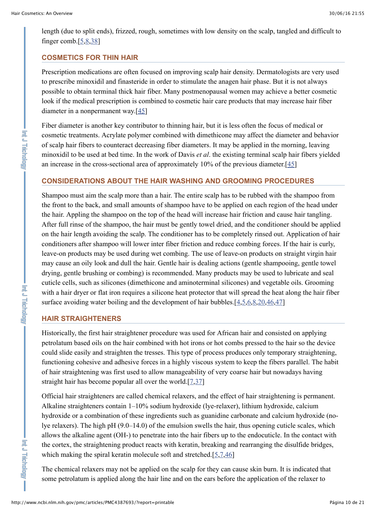length (due to split ends), frizzed, rough, sometimes with low density on the scalp, tangled and difficult to finger comb.[\[5,](http://www.ncbi.nlm.nih.gov/pmc/articles/PMC4387693/?report=printable#ref5)[8](http://www.ncbi.nlm.nih.gov/pmc/articles/PMC4387693/?report=printable#ref8)[,38\]](http://www.ncbi.nlm.nih.gov/pmc/articles/PMC4387693/?report=printable#ref38)

# **COSMETICS FOR THIN HAIR**

Prescription medications are often focused on improving scalp hair density. Dermatologists are very used to prescribe minoxidil and finasteride in order to stimulate the anagen hair phase. But it is not always possible to obtain terminal thick hair fiber. Many postmenopausal women may achieve a better cosmetic look if the medical prescription is combined to cosmetic hair care products that may increase hair fiber diameter in a nonpermanent way.[\[45](http://www.ncbi.nlm.nih.gov/pmc/articles/PMC4387693/?report=printable#ref45)]

Fiber diameter is another key contributor to thinning hair, but it is less often the focus of medical or cosmetic treatments. Acrylate polymer combined with dimethicone may affect the diameter and behavior of scalp hair fibers to counteract decreasing fiber diameters. It may be applied in the morning, leaving minoxidil to be used at bed time. In the work of Davis *et al*. the existing terminal scalp hair fibers yielded an increase in the cross-sectional area of approximately 10% of the previous diameter.[\[45](http://www.ncbi.nlm.nih.gov/pmc/articles/PMC4387693/?report=printable#ref45)]

## **CONSIDERATIONS ABOUT THE HAIR WASHING AND GROOMING PROCEDURES**

Shampoo must aim the scalp more than a hair. The entire scalp has to be rubbed with the shampoo from the front to the back, and small amounts of shampoo have to be applied on each region of the head under the hair. Appling the shampoo on the top of the head will increase hair friction and cause hair tangling. After full rinse of the shampoo, the hair must be gently towel dried, and the conditioner should be applied on the hair length avoiding the scalp. The conditioner has to be completely rinsed out. Application of hair conditioners after shampoo will lower inter fiber friction and reduce combing forces. If the hair is curly, leave-on products may be used during wet combing. The use of leave-on products on straight virgin hair may cause an oily look and dull the hair. Gentle hair is dealing actions (gentle shampooing, gentle towel drying, gentle brushing or combing) is recommended. Many products may be used to lubricate and seal cuticle cells, such as silicones (dimethicone and aminoterminal silicones) and vegetable oils. Grooming with a hair dryer or flat iron requires a silicone heat protector that will spread the heat along the hair fiber surface avoiding water boiling and the development of hair bubbles.[\[4](http://www.ncbi.nlm.nih.gov/pmc/articles/PMC4387693/?report=printable#ref4)[,5](http://www.ncbi.nlm.nih.gov/pmc/articles/PMC4387693/?report=printable#ref5)[,6](http://www.ncbi.nlm.nih.gov/pmc/articles/PMC4387693/?report=printable#ref6)[,8](http://www.ncbi.nlm.nih.gov/pmc/articles/PMC4387693/?report=printable#ref8)[,20](http://www.ncbi.nlm.nih.gov/pmc/articles/PMC4387693/?report=printable#ref20)[,46](http://www.ncbi.nlm.nih.gov/pmc/articles/PMC4387693/?report=printable#ref46)[,47](http://www.ncbi.nlm.nih.gov/pmc/articles/PMC4387693/?report=printable#ref47)]

## **HAIR STRAIGHTENERS**

Historically, the first hair straightener procedure was used for African hair and consisted on applying petrolatum based oils on the hair combined with hot irons or hot combs pressed to the hair so the device could slide easily and straighten the tresses. This type of process produces only temporary straightening, functioning cohesive and adhesive forces in a highly viscous system to keep the fibers parallel. The habit of hair straightening was first used to allow manageability of very coarse hair but nowadays having straight hair has become popular all over the world. $[7,37]$  $[7,37]$  $[7,37]$ 

Official hair straighteners are called chemical relaxers, and the effect of hair straightening is permanent. Alkaline straighteners contain 1–10% sodium hydroxide (lye-relaxer), lithium hydroxide, calcium hydroxide or a combination of these ingredients such as guanidine carbonate and calcium hydroxide (nolye relaxers). The high pH (9.0–14.0) of the emulsion swells the hair, thus opening cuticle scales, which allows the alkaline agent (OH-) to penetrate into the hair fibers up to the endocuticle. In the contact with the cortex, the straightening product reacts with keratin, breaking and rearranging the disulfide bridges, which making the spiral keratin molecule soft and stretched.[\[5](http://www.ncbi.nlm.nih.gov/pmc/articles/PMC4387693/?report=printable#ref5)[,7](http://www.ncbi.nlm.nih.gov/pmc/articles/PMC4387693/?report=printable#ref7)[,46\]](http://www.ncbi.nlm.nih.gov/pmc/articles/PMC4387693/?report=printable#ref46)

The chemical relaxers may not be applied on the scalp for they can cause skin burn. It is indicated that some petrolatum is applied along the hair line and on the ears before the application of the relaxer to

rt J Tichology –

A L TRIBURG |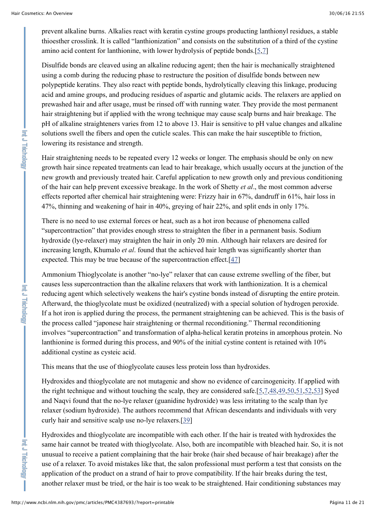# | Tichademy —

AL TRIPORT

**Fightenews** 

prevent alkaline burns. Alkalies react with keratin cystine groups producting lanthionyl residues, a stable thioesther crosslink. It is called "lanthionization" and consists on the substitution of a third of the cystine amino acid content for lanthionine, with lower hydrolysis of peptide bonds.[\[5](http://www.ncbi.nlm.nih.gov/pmc/articles/PMC4387693/?report=printable#ref5)[,7](http://www.ncbi.nlm.nih.gov/pmc/articles/PMC4387693/?report=printable#ref7)]

Disulfide bonds are cleaved using an alkaline reducing agent; then the hair is mechanically straightened using a comb during the reducing phase to restructure the position of disulfide bonds between new polypeptide keratins. They also react with peptide bonds, hydrolytically cleaving this linkage, producing acid and amine groups, and producing residues of aspartic and glutamic acids. The relaxers are applied on prewashed hair and after usage, must be rinsed off with running water. They provide the most permanent hair straightening but if applied with the wrong technique may cause scalp burns and hair breakage. The pH of alkaline straighteners varies from 12 to above 13. Hair is sensitive to pH value changes and alkaline solutions swell the fibers and open the cuticle scales. This can make the hair susceptible to friction, lowering its resistance and strength.

Hair straightening needs to be repeated every 12 weeks or longer. The emphasis should be only on new growth hair since repeated treatments can lead to hair breakage, which usually occurs at the junction of the new growth and previously treated hair. Careful application to new growth only and previous conditioning of the hair can help prevent excessive breakage. In the work of Shetty *et al*., the most common adverse effects reported after chemical hair straightening were: Frizzy hair in 67%, dandruff in 61%, hair loss in 47%, thinning and weakening of hair in 40%, greying of hair 22%, and split ends in only 17%.

There is no need to use external forces or heat, such as a hot iron because of phenomena called "supercontraction" that provides enough stress to straighten the fiber in a permanent basis. Sodium hydroxide (lye-relaxer) may straighten the hair in only 20 min. Although hair relaxers are desired for increasing length, Khumalo *et al*. found that the achieved hair length was significantly shorter than expected. This may be true because of the supercontraction effect. $[47]$ 

Ammonium Thioglycolate is another "no-lye" relaxer that can cause extreme swelling of the fiber, but causes less supercontraction than the alkaline relaxers that work with lanthionization. It is a chemical reducing agent which selectively weakens the hair's cystine bonds instead of disrupting the entire protein. Afterward, the thioglycolate must be oxidized (neutralized) with a special solution of hydrogen peroxide. If a hot iron is applied during the process, the permanent straightening can be achieved. This is the basis of the process called "japonese hair straightening or thermal reconditioning." Thermal reconditioning involves "supercontraction" and transformation of alpha-helical keratin proteins in amorphous protein. No lanthionine is formed during this process, and 90% of the initial cystine content is retained with 10% additional cystine as cysteic acid.

This means that the use of thioglycolate causes less protein loss than hydroxides.

Hydroxides and thioglycolate are not mutagenic and show no evidence of carcinogenicity. If applied with the right technique and without touching the scalp, they are considered safe.[\[5](http://www.ncbi.nlm.nih.gov/pmc/articles/PMC4387693/?report=printable#ref5)[,7](http://www.ncbi.nlm.nih.gov/pmc/articles/PMC4387693/?report=printable#ref7)[,48](http://www.ncbi.nlm.nih.gov/pmc/articles/PMC4387693/?report=printable#ref48)[,49](http://www.ncbi.nlm.nih.gov/pmc/articles/PMC4387693/?report=printable#ref49)[,50](http://www.ncbi.nlm.nih.gov/pmc/articles/PMC4387693/?report=printable#ref50)[,51](http://www.ncbi.nlm.nih.gov/pmc/articles/PMC4387693/?report=printable#ref51)[,52](http://www.ncbi.nlm.nih.gov/pmc/articles/PMC4387693/?report=printable#ref52)[,53](http://www.ncbi.nlm.nih.gov/pmc/articles/PMC4387693/?report=printable#ref53)] Syed and Naqvi found that the no-lye relaxer (guanidine hydroxide) was less irritating to the scalp than lye relaxer (sodium hydroxide). The authors recommend that African descendants and individuals with very curly hair and sensitive scalp use no-lye relaxers.[\[39](http://www.ncbi.nlm.nih.gov/pmc/articles/PMC4387693/?report=printable#ref39)]

Hydroxides and thioglycolate are incompatible with each other. If the hair is treated with hydroxides the same hair cannot be treated with thioglycolate. Also, both are incompatible with bleached hair. So, it is not unusual to receive a patient complaining that the hair broke (hair shed because of hair breakage) after the use of a relaxer. To avoid mistakes like that, the salon professional must perform a test that consists on the application of the product on a strand of hair to prove compatibility. If the hair breaks during the test, another relaxer must be tried, or the hair is too weak to be straightened. Hair conditioning substances may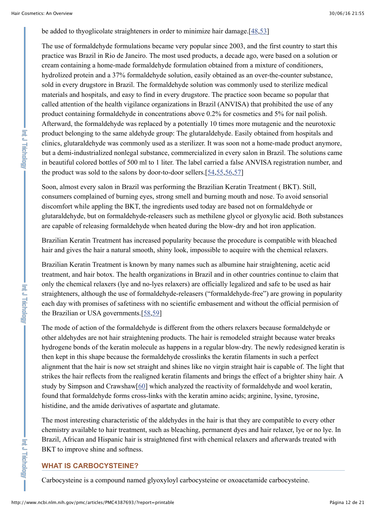**ALIEFEIGER** 

be added to thyoglicolate straighteners in order to minimize hair damage.[\[48](http://www.ncbi.nlm.nih.gov/pmc/articles/PMC4387693/?report=printable#ref48)[,53\]](http://www.ncbi.nlm.nih.gov/pmc/articles/PMC4387693/?report=printable#ref53)

The use of formaldehyde formulations became very popular since 2003, and the first country to start this practice was Brazil in Rio de Janeiro. The most used products, a decade ago, were based on a solution or cream containing a home-made formaldehyde formulation obtained from a mixture of conditioners, hydrolized protein and a 37% formaldehyde solution, easily obtained as an over-the-counter substance, sold in every drugstore in Brazil. The formaldehyde solution was commonly used to sterilize medical materials and hospitals, and easy to find in every drugstore. The practice soon became so popular that called attention of the health vigilance organizations in Brazil (ANVISA) that prohibited the use of any product containing formaldehyde in concentrations above 0.2% for cosmetics and 5% for nail polish. Afterward, the formaldehyde was replaced by a potentially 10 times more mutagenic and the neurotoxic product belonging to the same aldehyde group: The glutaraldehyde. Easily obtained from hospitals and clinics, glutaraldehyde was commonly used as a sterilizer. It was soon not a home-made product anymore, but a demi-industrialized nonlegal substance, commercialized in every salon in Brazil. The solutions came in beautiful colored bottles of 500 ml to 1 liter. The label carried a false ANVISA registration number, and the product was sold to the salons by door-to-door sellers.[\[54](http://www.ncbi.nlm.nih.gov/pmc/articles/PMC4387693/?report=printable#ref54)[,55](http://www.ncbi.nlm.nih.gov/pmc/articles/PMC4387693/?report=printable#ref55)[,56](http://www.ncbi.nlm.nih.gov/pmc/articles/PMC4387693/?report=printable#ref56)[,57\]](http://www.ncbi.nlm.nih.gov/pmc/articles/PMC4387693/?report=printable#ref57)

Soon, almost every salon in Brazil was performing the Brazilian Keratin Treatment ( BKT). Still, consumers complained of burning eyes, strong smell and burning mouth and nose. To avoid sensorial discomfort while appling the BKT, the ingredients used today are based not on formaldehyde or glutaraldehyde, but on formaldehyde-releasers such as methilene glycol or glyoxylic acid. Both substances are capable of releasing formaldehyde when heated during the blow-dry and hot iron application.

Brazilian Keratin Treatment has increased popularity because the procedure is compatible with bleached hair and gives the hair a natural smooth, shiny look, impossible to acquire with the chemical relaxers.

Brazilian Keratin Treatment is known by many names such as albumine hair straightening, acetic acid treatment, and hair botox. The health organizations in Brazil and in other countries continue to claim that only the chemical relaxers (lye and no-lyes relaxers) are officially legalized and safe to be used as hair straighteners, although the use of formaldehyde-releasers ("formaldehyde-free") are growing in popularity each day with promises of safetiness with no scientific embasement and without the official permision of the Brazilian or USA governments.[\[58](http://www.ncbi.nlm.nih.gov/pmc/articles/PMC4387693/?report=printable#ref58)[,59](http://www.ncbi.nlm.nih.gov/pmc/articles/PMC4387693/?report=printable#ref59)]

The mode of action of the formaldehyde is different from the others relaxers because formaldehyde or other aldehydes are not hair straightening products. The hair is remodeled straight because water breaks hydrogene bonds of the keratin molecule as happens in a regular blow-dry. The newly redesigned keratin is then kept in this shape because the formaldehyde crosslinks the keratin filaments in such a perfect alignment that the hair is now set straight and shines like no virgin straight hair is capable of. The light that strikes the hair reflects from the realigned keratin filaments and brings the effect of a brighter shiny hair. A study by Simpson and Crawshaw[\[60](http://www.ncbi.nlm.nih.gov/pmc/articles/PMC4387693/?report=printable#ref60)] which analyzed the reactivity of formaldehyde and wool keratin, found that formaldehyde forms cross-links with the keratin amino acids; arginine, lysine, tyrosine, histidine, and the amide derivatives of aspartate and glutamate.

The most interesting characteristic of the aldehydes in the hair is that they are compatible to every other chemistry available to hair treatment, such as bleaching, permanent dyes and hair relaxer, lye or no lye. In Brazil, African and Hispanic hair is straightened first with chemical relaxers and afterwards treated with BKT to improve shine and softness.

### **WHAT IS CARBOCYSTEINE?**

Carbocysteine is a compound named glyoxyloyl carbocysteine or oxoacetamide carbocysteine.

**ALINDREAD**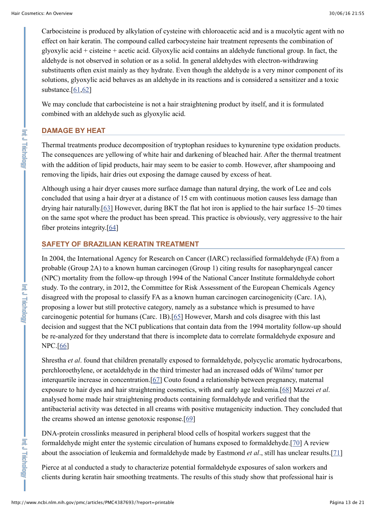**Fighterior -**

lt Tanaday I

Carbocisteine is produced by alkylation of cysteine with chloroacetic acid and is a mucolytic agent with no effect on hair keratin. The compound called carbocysteine hair treatment represents the combination of glyoxylic acid + cisteine + acetic acid. Glyoxylic acid contains an aldehyde functional group. In fact, the aldehyde is not observed in solution or as a solid. In general aldehydes with electron-withdrawing substituents often exist mainly as they hydrate. Even though the aldehyde is a very minor component of its solutions, glyoxylic acid behaves as an aldehyde in its reactions and is considered a sensitizer and a toxic substance. $[61, 62]$  $[61, 62]$ 

We may conclude that carbocisteine is not a hair straightening product by itself, and it is formulated combined with an aldehyde such as glyoxylic acid.

## **DAMAGE BY HEAT**

Thermal treatments produce decomposition of tryptophan residues to kynurenine type oxidation products. The consequences are yellowing of white hair and darkening of bleached hair. After the thermal treatment with the addition of lipid products, hair may seem to be easier to comb. However, after shampooing and removing the lipids, hair dries out exposing the damage caused by excess of heat.

Although using a hair dryer causes more surface damage than natural drying, the work of Lee and cols concluded that using a hair dryer at a distance of 15 cm with continuous motion causes less damage than drying hair naturally.[\[63](http://www.ncbi.nlm.nih.gov/pmc/articles/PMC4387693/?report=printable#ref63)] However, during BKT the flat hot iron is applied to the hair surface 15–20 times on the same spot where the product has been spread. This practice is obviously, very aggressive to the hair fiber proteins integrity.[\[64\]](http://www.ncbi.nlm.nih.gov/pmc/articles/PMC4387693/?report=printable#ref64)

# **SAFETY OF BRAZILIAN KERATIN TREATMENT**

In 2004, the International Agency for Research on Cancer (IARC) reclassified formaldehyde (FA) from a probable (Group 2A) to a known human carcinogen (Group 1) citing results for nasopharyngeal cancer (NPC) mortality from the follow-up through 1994 of the National Cancer Institute formaldehyde cohort study. To the contrary, in 2012, the Committee for Risk Assessment of the European Chemicals Agency disagreed with the proposal to classify FA as a known human carcinogen carcinogenicity (Carc. 1A), proposing a lower but still protective category, namely as a substance which is presumed to have carcinogenic potential for humans (Carc. 1B).[\[65](http://www.ncbi.nlm.nih.gov/pmc/articles/PMC4387693/?report=printable#ref65)] However, Marsh and cols disagree with this last decision and suggest that the NCI publications that contain data from the 1994 mortality follow-up should be re-analyzed for they understand that there is incomplete data to correlate formaldehyde exposure and NPC.[\[66](http://www.ncbi.nlm.nih.gov/pmc/articles/PMC4387693/?report=printable#ref66)]

Shrestha *et al*. found that children prenatally exposed to formaldehyde, polycyclic aromatic hydrocarbons, perchloroethylene, or acetaldehyde in the third trimester had an increased odds of Wilms' tumor per interquartile increase in concentration.[\[67](http://www.ncbi.nlm.nih.gov/pmc/articles/PMC4387693/?report=printable#ref67)] Couto found a relationship between pregnancy, maternal exposure to hair dyes and hair straightening cosmetics, with and early age leukemia.[\[68](http://www.ncbi.nlm.nih.gov/pmc/articles/PMC4387693/?report=printable#ref68)] Mazzei *et al*. analysed home made hair straightening products containing formaldehyde and verified that the antibacterial activity was detected in all creams with positive mutagenicity induction. They concluded that the creams showed an intense genotoxic response.[\[69](http://www.ncbi.nlm.nih.gov/pmc/articles/PMC4387693/?report=printable#ref69)]

DNA-protein crosslinks measured in peripheral blood cells of hospital workers suggest that the formaldehyde might enter the systemic circulation of humans exposed to formaldehyde.[\[70\]](http://www.ncbi.nlm.nih.gov/pmc/articles/PMC4387693/?report=printable#ref70) A review about the association of leukemia and formaldehyde made by Eastmond *et al*., still has unclear results.[\[71\]](http://www.ncbi.nlm.nih.gov/pmc/articles/PMC4387693/?report=printable#ref71)

Pierce at al conducted a study to characterize potential formaldehyde exposures of salon workers and clients during keratin hair smoothing treatments. The results of this study show that professional hair is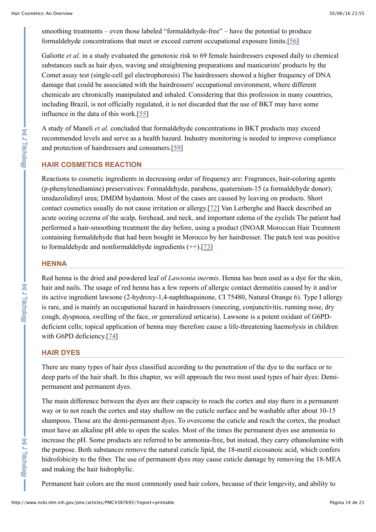**E** The Monday

smoothing treatments – even those labeled "formaldehyde-free" – have the potential to produce formaldehyde concentrations that meet or exceed current occupational exposure limits.[\[56\]](http://www.ncbi.nlm.nih.gov/pmc/articles/PMC4387693/?report=printable#ref56)

Galiotte *et al*. in a study evaluated the genotoxic risk to 69 female hairdressers exposed daily to chemical substances such as hair dyes, waving and straightening preparations and manicurists' products by the Comet assay test (single-cell gel electrophoresis) The hairdressers showed a higher frequency of DNA damage that could be associated with the hairdressers' occupational environment, where different chemicals are chronically manipulated and inhaled. Considering that this profession in many countries, including Brazil, is not officially regulated, it is not discarded that the use of BKT may have some influence in the data of this work.[\[55](http://www.ncbi.nlm.nih.gov/pmc/articles/PMC4387693/?report=printable#ref55)]

A study of Maneli *et al*. concluded that formaldehyde concentrations in BKT products may exceed recommended levels and serve as a health hazard. Industry monitoring is needed to improve compliance and protection of hairdressers and consumers.[\[59\]](http://www.ncbi.nlm.nih.gov/pmc/articles/PMC4387693/?report=printable#ref59)

# **HAIR COSMETICS REACTION**

Reactions to cosmetic ingredients in decreasing order of frequency are: Fragrances, hair-coloring agents (p-phenylenediamine) preservatives: Formaldehyde, parabens, quaternium-15 (a formaldehyde donor); imidazolidinyl urea; DMDM hydantoin. Most of the cases are caused by leaving on products. Short contact cosmetics usually do not cause irritation or allergy.[\[72\]](http://www.ncbi.nlm.nih.gov/pmc/articles/PMC4387693/?report=printable#ref72) Van Lerberghe and Baeck described an acute oozing eczema of the scalp, forehead, and neck, and important edema of the eyelids The patient had performed a hair-smoothing treatment the day before, using a product (INOAR Moroccan Hair Treatment containing formaldehyde that had been bought in Morocco by her hairdresser. The patch test was positive to formaldehyde and nonformaldehyde ingredients  $(+)$ .[\[73](http://www.ncbi.nlm.nih.gov/pmc/articles/PMC4387693/?report=printable#ref73)]

# **HENNA**

Red henna is the dried and powdered leaf of *Lawsonia inermis*. Henna has been used as a dye for the skin, hair and nails. The usage of red henna has a few reports of allergic contact dermatitis caused by it and/or its active ingredient lawsone (2-hydroxy-1,4-naphthoquinone, CI 75480, Natural Orange 6). Type I allergy is rare, and is mainly an occupational hazard in hairdressers (sneezing, conjunctivitis, running nose, dry cough, dyspnoea, swelling of the face, or generalized urticaria). Lawsone is a potent oxidant of G6PDdeficient cells; topical application of henna may therefore cause a life-threatening haemolysis in children with G6PD deficiency.[\[74](http://www.ncbi.nlm.nih.gov/pmc/articles/PMC4387693/?report=printable#ref74)]

## **HAIR DYES**

There are many types of hair dyes classified according to the penetration of the dye to the surface or to deep parts of the hair shaft. In this chapter, we will approach the two most used types of hair dyes: Demipermanent and permanent dyes.

The main difference between the dyes are their capacity to reach the cortex and stay there in a permanent way or to not reach the cortex and stay shallow on the cuticle surface and be washable after about 10-15 shampoos. Those are the demi-permanent dyes. To overcome the cuticle and reach the cortex, the product must have an alkaline pH able to open the scales. Most of the times the permanent dyes use ammonia to increase the pH. Some products are referred to be ammonia-free, but instead, they carry ethanolamine with the purpose. Both substances remove the natural cuticle lipid, the 18-metil eicosanoic acid, which confers hidrofobicity to the fiber. The use of permanent dyes may cause cuticle damage by removing the 18-MEA and making the hair hidrophylic.

Permanent hair colors are the most commonly used hair colors, because of their longevity, and ability to

**Construction**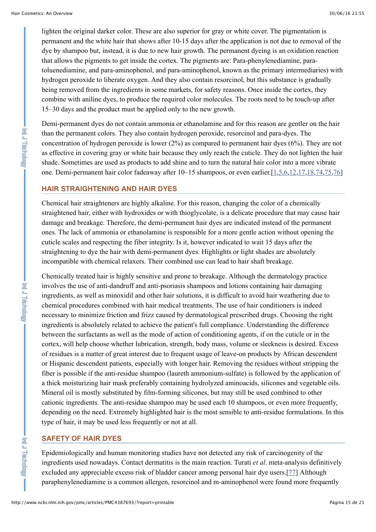**FLIEFELAND** 

**Construction** 

lighten the original darker color. These are also superior for gray or white cover. The pigmentation is permanent and the white hair that shows after 10-15 days after the application is not due to removal of the dye by shampoo but, instead, it is due to new hair growth. The permanent dyeing is an oxidation reaction that allows the pigments to get inside the cortex. The pigments are: Para-phenylenediamine, paratoluenediamine, and para-aminophenol, and para-aminophenol, known as the primary intermediaries) with hydrogen peroxide to liberate oxygen. And they also contain resorcinol, but this substance is gradually being removed from the ingredients in some markets, for safety reasons. Once inside the cortex, they combine with aniline dyes, to produce the required color molecules. The roots need to be touch-up after 15–30 days and the product must be applied only to the new growth.

Demi-permanent dyes do not contain ammonia or ethanolamine and for this reason are gentler on the hair than the permanent colors. They also contain hydrogen peroxide, resorcinol and para-dyes. The concentration of hydrogen peroxide is lower (2%) as compared to permanent hair dyes (6%). They are not as effective in covering gray or white hair because they only reach the cuticle. They do not lighten the hair shade. Sometimes are used as products to add shine and to turn the natural hair color into a more vibrate one. Demi-permanent hair color fadeaway after 10–15 shampoos, or even earlier.[\[1](http://www.ncbi.nlm.nih.gov/pmc/articles/PMC4387693/?report=printable#ref1)[,5](http://www.ncbi.nlm.nih.gov/pmc/articles/PMC4387693/?report=printable#ref5)[,6](http://www.ncbi.nlm.nih.gov/pmc/articles/PMC4387693/?report=printable#ref6)[,12](http://www.ncbi.nlm.nih.gov/pmc/articles/PMC4387693/?report=printable#ref12)[,17](http://www.ncbi.nlm.nih.gov/pmc/articles/PMC4387693/?report=printable#ref17)[,18](http://www.ncbi.nlm.nih.gov/pmc/articles/PMC4387693/?report=printable#ref18)[,74](http://www.ncbi.nlm.nih.gov/pmc/articles/PMC4387693/?report=printable#ref74)[,75](http://www.ncbi.nlm.nih.gov/pmc/articles/PMC4387693/?report=printable#ref75)[,76](http://www.ncbi.nlm.nih.gov/pmc/articles/PMC4387693/?report=printable#ref76)]

### **HAIR STRAIGHTENING AND HAIR DYES**

Chemical hair straighteners are highly alkaline. For this reason, changing the color of a chemically straightened hair, either with hydroxides or with thioglycolate, is a delicate procedure that may cause hair damage and breakage. Therefore, the demi-permanent hair dyes are indicated instead of the permanent ones. The lack of ammonia or ethanolamine is responsible for a more gentle action without opening the cuticle scales and respecting the fiber integrity. Is it, however indicated to wait 15 days after the straightening to dye the hair with demi-permanent dyes. Highlights or light shades are absolutely incompatible with chemical relaxers. Their combined use can lead to hair shaft breakage.

Chemically treated hair is highly sensitive and prone to breakage. Although the dermatology practice involves the use of anti-dandruff and anti-psoriasis shampoos and lotions containing hair damaging ingredients, as well as minoxidil and other hair solutions, it is difficult to avoid hair weathering due to chemical procedures combined with hair medical treatments. The use of hair conditioners is indeed necessary to minimize friction and frizz caused by dermatological prescribed drugs. Choosing the right ingredients is absolutely related to achieve the patient's full compliance. Understanding the difference between the surfactants as well as the mode of action of conditioning agents, if on the cuticle or in the cortex, will help choose whether lubrication, strength, body mass, volume or sleekness is desired. Excess of residues is a matter of great interest due to frequent usage of leave-on products by African descendent or Hispanic descendent patients, especially with longer hair. Removing the residues without stripping the fiber is possible if the anti-residue shampoo (laureth ammonium-sulfate) is followed by the application of a thick moisturizing hair mask preferably containing hydrolyzed aminoacids, silicones and vegetable oils. Mineral oil is mostly substituted by film-forming silicones, but may still be used combined to other cationic ingredients. The anti-residue shampoo may be used each 10 shampoos, or even more frequently, depending on the need. Extremely highlighted hair is the most sensible to anti-residue formulations. In this type of hair, it may be used less frequently or not at all.

# **SAFETY OF HAIR DYES**

Epidemiologically and human monitoring studies have not detected any risk of carcinogenity of the ingredients used nowadays. Contact dermatitis is the main reaction. Turati *et al*. meta-analysis definitively excluded any appreciable excess risk of bladder cancer among personal hair dye users.[\[77](http://www.ncbi.nlm.nih.gov/pmc/articles/PMC4387693/?report=printable#ref77)] Although paraphenylenediamine is a common allergen, resorcinol and m-aminophenol were found more frequently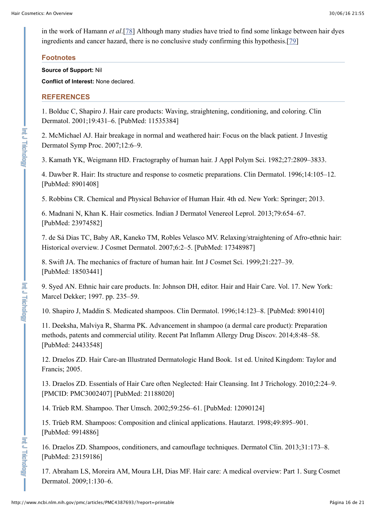in the work of Hamann *et al*.[\[78\]](http://www.ncbi.nlm.nih.gov/pmc/articles/PMC4387693/?report=printable#ref78) Although many studies have tried to find some linkage between hair dyes ingredients and cancer hazard, there is no conclusive study confirming this hypothesis.[\[79\]](http://www.ncbi.nlm.nih.gov/pmc/articles/PMC4387693/?report=printable#ref79)

### **Footnotes**

**Source of Support:** Nil

**Conflict of Interest:** None declared.

### **REFERENCES**

1. Bolduc C, Shapiro J. Hair care products: Waving, straightening, conditioning, and coloring. Clin Dermatol. 2001;19:431–6. [PubMed: 11535384]

2. McMichael AJ. Hair breakage in normal and weathered hair: Focus on the black patient. J Investig Dermatol Symp Proc. 2007;12:6–9.

3. Kamath YK, Weigmann HD. Fractography of human hair. J Appl Polym Sci. 1982;27:2809–3833.

4. Dawber R. Hair: Its structure and response to cosmetic preparations. Clin Dermatol. 1996;14:105–12. [PubMed: 8901408]

5. Robbins CR. Chemical and Physical Behavior of Human Hair. 4th ed. New York: Springer; 2013.

6. Madnani N, Khan K. Hair cosmetics. Indian J Dermatol Venereol Leprol. 2013;79:654–67. [PubMed: 23974582]

7. de Sá Dias TC, Baby AR, Kaneko TM, Robles Velasco MV. Relaxing/straightening of Afro-ethnic hair: Historical overview. J Cosmet Dermatol. 2007;6:2–5. [PubMed: 17348987]

8. Swift JA. The mechanics of fracture of human hair. Int J Cosmet Sci. 1999;21:227–39. [PubMed: 18503441]

9. Syed AN. Ethnic hair care products. In: Johnson DH, editor. Hair and Hair Care. Vol. 17. New York: Marcel Dekker; 1997. pp. 235–59.

10. Shapiro J, Maddin S. Medicated shampoos. Clin Dermatol. 1996;14:123–8. [PubMed: 8901410]

11. Deeksha, Malviya R, Sharma PK. Advancement in shampoo (a dermal care product): Preparation methods, patents and commercial utility. Recent Pat Inflamm Allergy Drug Discov. 2014;8:48–58. [PubMed: 24433548]

12. Draelos ZD. Hair Care-an Illustrated Dermatologic Hand Book. 1st ed. United Kingdom: Taylor and Francis; 2005.

13. Draelos ZD. Essentials of Hair Care often Neglected: Hair Cleansing. Int J Trichology. 2010;2:24–9. [PMCID: PMC3002407] [PubMed: 21188020]

14. Trüeb RM. Shampoo. Ther Umsch. 2002;59:256–61. [PubMed: 12090124]

15. Trüeb RM. Shampoos: Composition and clinical applications. Hautarzt. 1998;49:895–901. [PubMed: 9914886]

16. Draelos ZD. Shampoos, conditioners, and camouflage techniques. Dermatol Clin. 2013;31:173–8. [PubMed: 23159186]

17. Abraham LS, Moreira AM, Moura LH, Dias MF. Hair care: A medical overview: Part 1. Surg Cosmet Dermatol. 2009;1:130–6.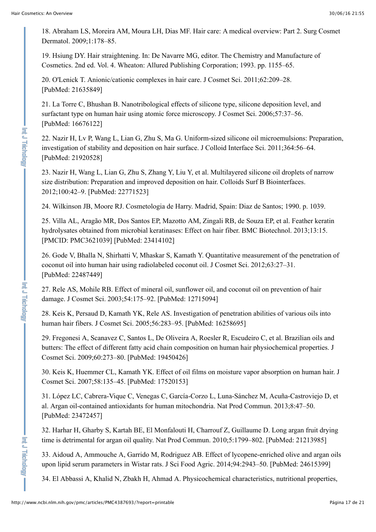**Secretary -**

**Secretary Company** 

**Experience -**

18. Abraham LS, Moreira AM, Moura LH, Dias MF. Hair care: A medical overview: Part 2. Surg Cosmet Dermatol. 2009;1:178–85.

19. Hsiung DY. Hair straightening. In: De Navarre MG, editor. The Chemistry and Manufacture of Cosmetics. 2nd ed. Vol. 4. Wheaton: Allured Publishing Corporation; 1993. pp. 1155–65.

20. O'Lenick T. Anionic/cationic complexes in hair care. J Cosmet Sci. 2011;62:209–28. [PubMed: 21635849]

21. La Torre C, Bhushan B. Nanotribological effects of silicone type, silicone deposition level, and surfactant type on human hair using atomic force microscopy. J Cosmet Sci. 2006;57:37–56. [PubMed: 16676122]

22. Nazir H, Lv P, Wang L, Lian G, Zhu S, Ma G. Uniform-sized silicone oil microemulsions: Preparation, investigation of stability and deposition on hair surface. J Colloid Interface Sci. 2011;364:56–64. [PubMed: 21920528]

23. Nazir H, Wang L, Lian G, Zhu S, Zhang Y, Liu Y, et al. Multilayered silicone oil droplets of narrow size distribution: Preparation and improved deposition on hair. Colloids Surf B Biointerfaces. 2012;100:42–9. [PubMed: 22771523]

24. Wilkinson JB, Moore RJ. Cosmetologia de Harry. Madrid, Spain: Diaz de Santos; 1990. p. 1039.

25. Villa AL, Aragão MR, Dos Santos EP, Mazotto AM, Zingali RB, de Souza EP, et al. Feather keratin hydrolysates obtained from microbial keratinases: Effect on hair fiber. BMC Biotechnol. 2013;13:15. [PMCID: PMC3621039] [PubMed: 23414102]

26. Gode V, Bhalla N, Shirhatti V, Mhaskar S, Kamath Y. Quantitative measurement of the penetration of coconut oil into human hair using radiolabeled coconut oil. J Cosmet Sci. 2012;63:27–31. [PubMed: 22487449]

27. Rele AS, Mohile RB. Effect of mineral oil, sunflower oil, and coconut oil on prevention of hair damage. J Cosmet Sci. 2003;54:175–92. [PubMed: 12715094]

28. Keis K, Persaud D, Kamath YK, Rele AS. Investigation of penetration abilities of various oils into human hair fibers. J Cosmet Sci. 2005;56:283–95. [PubMed: 16258695]

29. Fregonesi A, Scanavez C, Santos L, De Oliveira A, Roesler R, Escudeiro C, et al. Brazilian oils and butters: The effect of different fatty acid chain composition on human hair physiochemical properties. J Cosmet Sci. 2009;60:273–80. [PubMed: 19450426]

30. Keis K, Huemmer CL, Kamath YK. Effect of oil films on moisture vapor absorption on human hair. J Cosmet Sci. 2007;58:135–45. [PubMed: 17520153]

31. López LC, Cabrera-Vique C, Venegas C, García-Corzo L, Luna-Sánchez M, Acuña-Castroviejo D, et al. Argan oil-contained antioxidants for human mitochondria. Nat Prod Commun. 2013;8:47–50. [PubMed: 23472457]

32. Harhar H, Gharby S, Kartah BE, El Monfalouti H, Charrouf Z, Guillaume D. Long argan fruit drying time is detrimental for argan oil quality. Nat Prod Commun. 2010;5:1799–802. [PubMed: 21213985]

33. Aidoud A, Ammouche A, Garrido M, Rodriguez AB. Effect of lycopene-enriched olive and argan oils upon lipid serum parameters in Wistar rats. J Sci Food Agric. 2014;94:2943–50. [PubMed: 24615399]

34. El Abbassi A, Khalid N, Zbakh H, Ahmad A. Physicochemical characteristics, nutritional properties,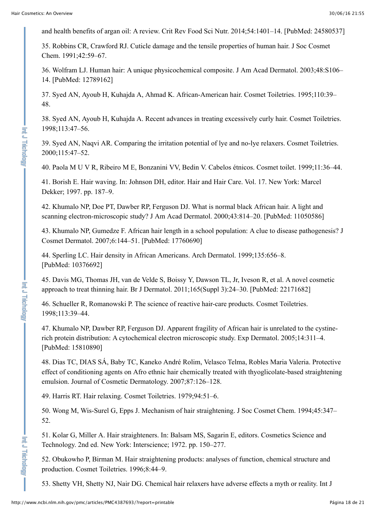**Southerness** 

 $\blacksquare$ 

- Morphold r

and health benefits of argan oil: A review. Crit Rev Food Sci Nutr. 2014;54:1401–14. [PubMed: 24580537]

35. Robbins CR, Crawford RJ. Cuticle damage and the tensile properties of human hair. J Soc Cosmet Chem. 1991;42:59–67.

36. Wolfram LJ. Human hair: A unique physicochemical composite. J Am Acad Dermatol. 2003;48:S106– 14. [PubMed: 12789162]

37. Syed AN, Ayoub H, Kuhajda A, Ahmad K. African-American hair. Cosmet Toiletries. 1995;110:39– 48.

38. Syed AN, Ayoub H, Kuhajda A. Recent advances in treating excessively curly hair. Cosmet Toiletries. 1998;113:47–56.

39. Syed AN, Naqvi AR. Comparing the irritation potential of lye and no-lye relaxers. Cosmet Toiletries. 2000;115:47–52.

40. Paola M U V R, Ribeiro M E, Bonzanini VV, Bedin V. Cabelos étnicos. Cosmet toilet. 1999;11:36–44.

41. Borish E. Hair waving. In: Johnson DH, editor. Hair and Hair Care. Vol. 17. New York: Marcel Dekker; 1997. pp. 187–9.

42. Khumalo NP, Doe PT, Dawber RP, Ferguson DJ. What is normal black African hair. A light and scanning electron-microscopic study? J Am Acad Dermatol. 2000;43:814–20. [PubMed: 11050586]

43. Khumalo NP, Gumedze F. African hair length in a school population: A clue to disease pathogenesis? J Cosmet Dermatol. 2007;6:144–51. [PubMed: 17760690]

44. Sperling LC. Hair density in African Americans. Arch Dermatol. 1999;135:656–8. [PubMed: 10376692]

45. Davis MG, Thomas JH, van de Velde S, Boissy Y, Dawson TL, Jr, Iveson R, et al. A novel cosmetic approach to treat thinning hair. Br J Dermatol. 2011;165(Suppl 3):24–30. [PubMed: 22171682]

46. Schueller R, Romanowski P. The science of reactive hair-care products. Cosmet Toiletries. 1998;113:39–44.

47. Khumalo NP, Dawber RP, Ferguson DJ. Apparent fragility of African hair is unrelated to the cystinerich protein distribution: A cytochemical electron microscopic study. Exp Dermatol. 2005;14:311–4. [PubMed: 15810890]

48. Dias TC, DIAS SÁ, Baby TC, Kaneko André Rolim, Velasco Telma, Robles Maria Valeria. Protective effect of conditioning agents on Afro ethnic hair chemically treated with thyoglicolate-based straightening emulsion. Journal of Cosmetic Dermatology. 2007;87:126–128.

49. Harris RT. Hair relaxing. Cosmet Toiletries. 1979;94:51–6.

50. Wong M, Wis-Surel G, Epps J. Mechanism of hair straightening. J Soc Cosmet Chem. 1994;45:347– 52.

51. Kolar G, Miller A. Hair straighteners. In: Balsam MS, Sagarin E, editors. Cosmetics Science and Technology. 2nd ed. New York: Interscience; 1972. pp. 150–277.

52. Obukowho P, Birman M. Hair straightening products: analyses of function, chemical structure and production. Cosmet Toiletries. 1996;8:44–9.

53. Shetty VH, Shetty NJ, Nair DG. Chemical hair relaxers have adverse effects a myth or reality. Int J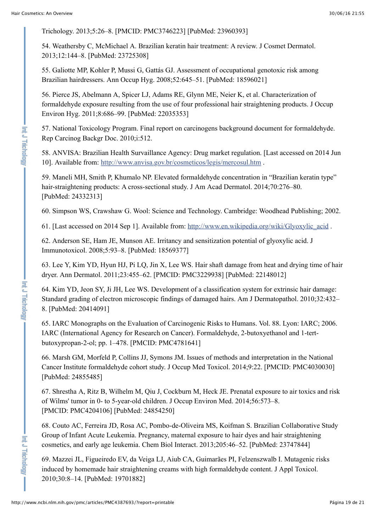Trichology. 2013;5:26–8. [PMCID: PMC3746223] [PubMed: 23960393]

54. Weathersby C, McMichael A. Brazilian keratin hair treatment: A review. J Cosmet Dermatol. 2013;12:144–8. [PubMed: 23725308]

55. Galiotte MP, Kohler P, Mussi G, Gattás GJ. Assessment of occupational genotoxic risk among Brazilian hairdressers. Ann Occup Hyg. 2008;52:645–51. [PubMed: 18596021]

56. Pierce JS, Abelmann A, Spicer LJ, Adams RE, Glynn ME, Neier K, et al. Characterization of formaldehyde exposure resulting from the use of four professional hair straightening products. J Occup Environ Hyg. 2011;8:686–99. [PubMed: 22035353]

57. National Toxicology Program. Final report on carcinogens background document for formaldehyde. Rep Carcinog Backgr Doc. 2010;i:512.

58. ANVISA: Brazilian Health Survaillance Agency: Drug market regulation. [Last accessed on 2014 Jun 10]. Available from:<http://www.anvisa.gov.br/cosmeticos/legis/mercosul.htm>.

59. Maneli MH, Smith P, Khumalo NP. Elevated formaldehyde concentration in "Brazilian keratin type" hair-straightening products: A cross-sectional study. J Am Acad Dermatol. 2014;70:276–80. [PubMed: 24332313]

60. Simpson WS, Crawshaw G. Wool: Science and Technology. Cambridge: Woodhead Publishing; 2002.

61. [Last accessed on 2014 Sep 1]. Available from: [http://www.en.wikipedia.org/wiki/Glyoxylic\\_acid](http://www.en.wikipedia.org/wiki/Glyoxylic_acid) .

62. Anderson SE, Ham JE, Munson AE. Irritancy and sensitization potential of glyoxylic acid. J Immunotoxicol. 2008;5:93–8. [PubMed: 18569377]

63. Lee Y, Kim YD, Hyun HJ, Pi LQ, Jin X, Lee WS. Hair shaft damage from heat and drying time of hair dryer. Ann Dermatol. 2011;23:455–62. [PMCID: PMC3229938] [PubMed: 22148012]

64. Kim YD, Jeon SY, Ji JH, Lee WS. Development of a classification system for extrinsic hair damage: Standard grading of electron microscopic findings of damaged hairs. Am J Dermatopathol. 2010;32:432– 8. [PubMed: 20414091]

65. IARC Monographs on the Evaluation of Carcinogenic Risks to Humans. Vol. 88. Lyon: IARC; 2006. IARC (International Agency for Research on Cancer). Formaldehyde, 2-butoxyethanol and 1-tertbutoxypropan-2-ol; pp. 1–478. [PMCID: PMC4781641]

66. Marsh GM, Morfeld P, Collins JJ, Symons JM. Issues of methods and interpretation in the National Cancer Institute formaldehyde cohort study. J Occup Med Toxicol. 2014;9:22. [PMCID: PMC4030030] [PubMed: 24855485]

67. Shrestha A, Ritz B, Wilhelm M, Qiu J, Cockburn M, Heck JE. Prenatal exposure to air toxics and risk of Wilms' tumor in 0- to 5-year-old children. J Occup Environ Med. 2014;56:573–8. [PMCID: PMC4204106] [PubMed: 24854250]

68. Couto AC, Ferreira JD, Rosa AC, Pombo-de-Oliveira MS, Koifman S. Brazilian Collaborative Study Group of Infant Acute Leukemia. Pregnancy, maternal exposure to hair dyes and hair straightening cosmetics, and early age leukemia. Chem Biol Interact. 2013;205:46–52. [PubMed: 23747844]

69. Mazzei JL, Figueiredo EV, da Veiga LJ, Aiub CA, Guimarães PI, Felzenszwalb I. Mutagenic risks induced by homemade hair straightening creams with high formaldehyde content. J Appl Toxicol. 2010;30:8–14. [PubMed: 19701882]

J Tilchology —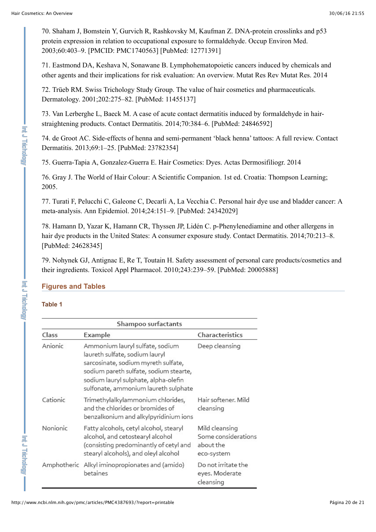J Tilchology —

70. Shaham J, Bomstein Y, Gurvich R, Rashkovsky M, Kaufman Z. DNA-protein crosslinks and p53 protein expression in relation to occupational exposure to formaldehyde. Occup Environ Med. 2003;60:403–9. [PMCID: PMC1740563] [PubMed: 12771391]

71. Eastmond DA, Keshava N, Sonawane B. Lymphohematopoietic cancers induced by chemicals and other agents and their implications for risk evaluation: An overview. Mutat Res Rev Mutat Res. 2014

72. Trüeb RM. Swiss Trichology Study Group. The value of hair cosmetics and pharmaceuticals. Dermatology. 2001;202:275–82. [PubMed: 11455137]

73. Van Lerberghe L, Baeck M. A case of acute contact dermatitis induced by formaldehyde in hairstraightening products. Contact Dermatitis. 2014;70:384–6. [PubMed: 24846592]

74. de Groot AC. Side-effects of henna and semi-permanent 'black henna' tattoos: A full review. Contact Dermatitis. 2013;69:1–25. [PubMed: 23782354]

75. Guerra-Tapia A, Gonzalez-Guerra E. Hair Cosmetics: Dyes. Actas Dermosifiliogr. 2014

76. Gray J. The World of Hair Colour: A Scientific Companion. 1st ed. Croatia: Thompson Learning; 2005.

77. Turati F, Pelucchi C, Galeone C, Decarli A, La Vecchia C. Personal hair dye use and bladder cancer: A meta-analysis. Ann Epidemiol. 2014;24:151–9. [PubMed: 24342029]

78. Hamann D, Yazar K, Hamann CR, Thyssen JP, Lidén C. p-Phenylenediamine and other allergens in hair dye products in the United States: A consumer exposure study. Contact Dermatitis. 2014;70:213-8. [PubMed: 24628345]

79. Nohynek GJ, Antignac E, Re T, Toutain H. Safety assessment of personal care products/cosmetics and their ingredients. Toxicol Appl Pharmacol. 2010;243:239–59. [PubMed: 20005888]

# **Figures and Tables**

# **Table 1**

J Tilchalaigy —

- Mehalagy -

| Shampoo surfactants |                                                                                                                                                                                                                                    |                                                                  |
|---------------------|------------------------------------------------------------------------------------------------------------------------------------------------------------------------------------------------------------------------------------|------------------------------------------------------------------|
| Class               | Example                                                                                                                                                                                                                            | Characteristics                                                  |
| Anionic             | Ammonium lauryl sulfate, sodium<br>laureth sulfate, sodium lauryl<br>sarcosinate, sodium myreth sulfate,<br>sodium pareth sulfate, sodium stearte,<br>sodium lauryl sulphate, alpha-olefin<br>sulfonate, ammonium laureth sulphate | Deep cleansing                                                   |
| Cationic            | Trimethylalkylammonium chlorides,<br>and the chlorides or bromides of<br>benzalkonium and alkylpyridinium ions                                                                                                                     | Hair softener. Mild<br>cleansing                                 |
| Nonionic            | Fatty alcohols, cetyl alcohol, stearyl<br>alcohol, and cetostearyl alcohol<br>(consisting predominantly of cetyl and<br>stearyl alcohols), and oleyl alcohol                                                                       | Mild cleansing<br>Some considerations<br>about the<br>eco-system |
|                     | Amphotheric Alkyl iminopropionates and (amido)<br>betaines                                                                                                                                                                         | Do not irritate the<br>eyes. Moderate<br>cleansing               |